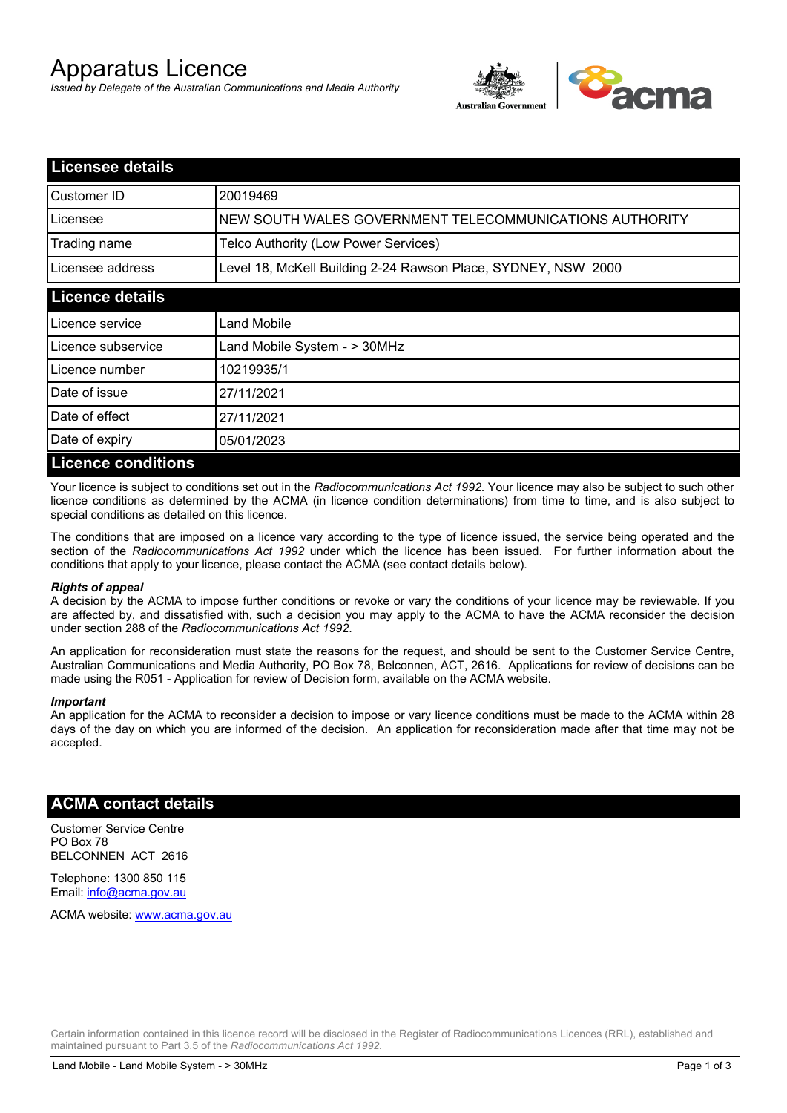# Apparatus Licence

*Issued by Delegate of the Australian Communications and Media Authority*



| <b>Licensee details</b>   |                                                               |
|---------------------------|---------------------------------------------------------------|
| Customer ID               | 20019469                                                      |
| Licensee                  | NEW SOUTH WALES GOVERNMENT TELECOMMUNICATIONS AUTHORITY       |
| Trading name              | Telco Authority (Low Power Services)                          |
| Licensee address          | Level 18, McKell Building 2-24 Rawson Place, SYDNEY, NSW 2000 |
| <b>Licence details</b>    |                                                               |
| Licence service           | Land Mobile                                                   |
| Licence subservice        | Land Mobile System - > 30MHz                                  |
| Licence number            | 10219935/1                                                    |
| Date of issue             | 27/11/2021                                                    |
| Date of effect            | 27/11/2021                                                    |
| Date of expiry            | 05/01/2023                                                    |
| <b>Licence conditions</b> |                                                               |

Your licence is subject to conditions set out in the *Radiocommunications Act 1992*. Your licence may also be subject to such other licence conditions as determined by the ACMA (in licence condition determinations) from time to time, and is also subject to special conditions as detailed on this licence.

The conditions that are imposed on a licence vary according to the type of licence issued, the service being operated and the section of the *Radiocommunications Act 1992* under which the licence has been issued. For further information about the conditions that apply to your licence, please contact the ACMA (see contact details below).

#### *Rights of appeal*

A decision by the ACMA to impose further conditions or revoke or vary the conditions of your licence may be reviewable. If you are affected by, and dissatisfied with, such a decision you may apply to the ACMA to have the ACMA reconsider the decision under section 288 of the *Radiocommunications Act 1992*.

An application for reconsideration must state the reasons for the request, and should be sent to the Customer Service Centre, Australian Communications and Media Authority, PO Box 78, Belconnen, ACT, 2616. Applications for review of decisions can be made using the R051 - Application for review of Decision form, available on the ACMA website.

#### *Important*

An application for the ACMA to reconsider a decision to impose or vary licence conditions must be made to the ACMA within 28 days of the day on which you are informed of the decision. An application for reconsideration made after that time may not be accepted.

#### **ACMA contact details**

Customer Service Centre PO Box 78 BELCONNEN ACT 2616

Telephone: 1300 850 115 Email: info@acma.gov.au

ACMA website: www.acma.gov.au

Certain information contained in this licence record will be disclosed in the Register of Radiocommunications Licences (RRL), established and maintained pursuant to Part 3.5 of the *Radiocommunications Act 1992.*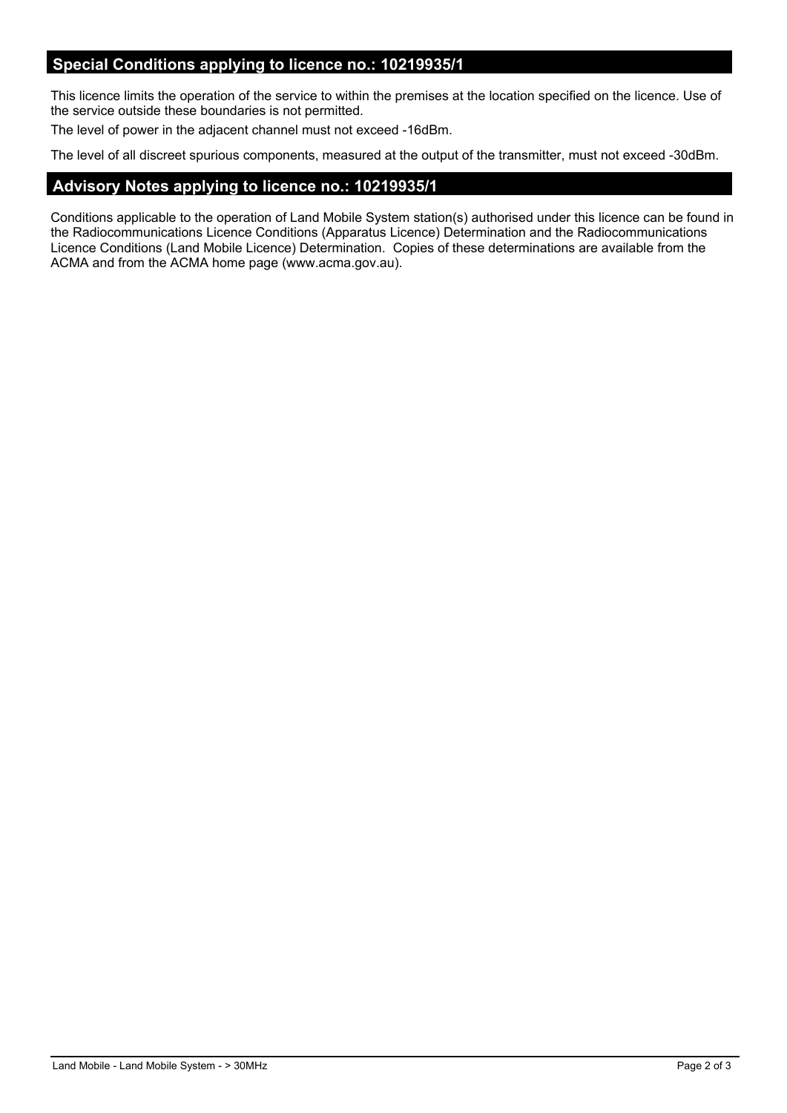#### **Special Conditions applying to licence no.: 10219935/1**

This licence limits the operation of the service to within the premises at the location specified on the licence. Use of the service outside these boundaries is not permitted.

The level of power in the adjacent channel must not exceed -16dBm.

The level of all discreet spurious components, measured at the output of the transmitter, must not exceed -30dBm.

## **Advisory Notes applying to licence no.: 10219935/1**

Conditions applicable to the operation of Land Mobile System station(s) authorised under this licence can be found in the Radiocommunications Licence Conditions (Apparatus Licence) Determination and the Radiocommunications Licence Conditions (Land Mobile Licence) Determination. Copies of these determinations are available from the ACMA and from the ACMA home page (www.acma.gov.au).